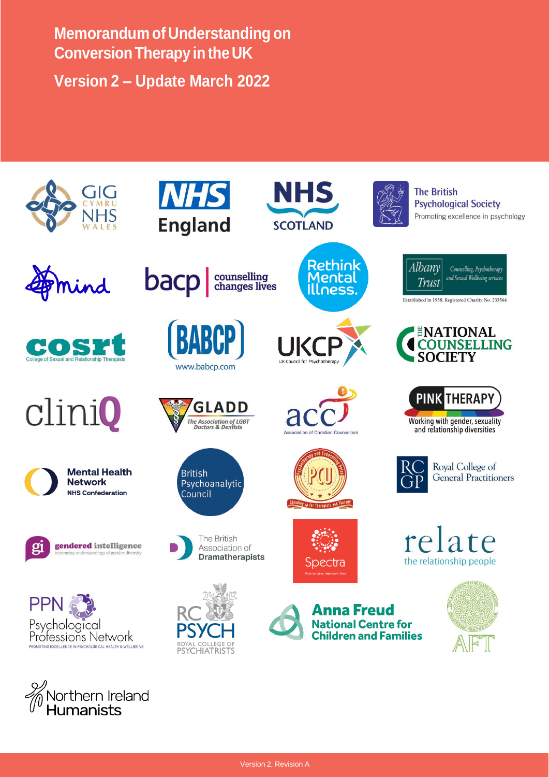**Memorandum of Understanding on Conversion Therapy in the UK Version 2 – Update March 2022**

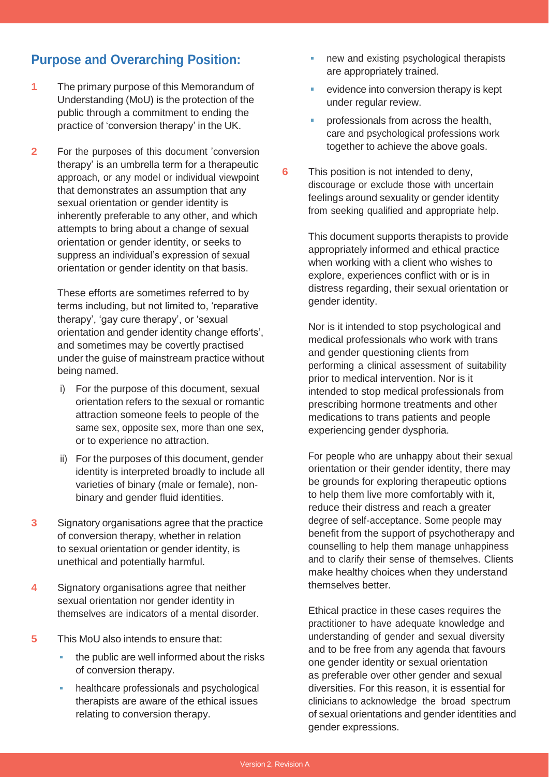# **Purpose and Overarching Position:**

- **1** The primary purpose of this Memorandum of Understanding (MoU) is the protection of the public through a commitment to ending the practice of 'conversion therapy' in the UK.
- **2** For the purposes of this document 'conversion therapy' is an umbrella term for a therapeutic approach, or any model or individual viewpoint that demonstrates an assumption that any sexual orientation or gender identity is inherently preferable to any other, and which attempts to bring about a change of sexual orientation or gender identity, or seeks to suppress an individual's expression of sexual orientation or gender identity on that basis.

These efforts are sometimes referred to by terms including, but not limited to, 'reparative therapy', 'gay cure therapy', or 'sexual orientation and gender identity change efforts', and sometimes may be covertly practised under the guise of mainstream practice without being named.

- i) For the purpose of this document, sexual orientation refers to the sexual or romantic attraction someone feels to people of the same sex, opposite sex, more than one sex, or to experience no attraction.
- ii) For the purposes of this document, gender identity is interpreted broadly to include all varieties of binary (male or female), nonbinary and gender fluid identities.
- **3** Signatory organisations agree that the practice of conversion therapy, whether in relation to sexual orientation or gender identity, is unethical and potentially harmful.
- **4** Signatory organisations agree that neither sexual orientation nor gender identity in themselves are indicators of a mental disorder.
- **5** This MoU also intends to ensure that:
	- $\blacksquare$  the public are well informed about the risks of conversion therapy.
	- **healthcare professionals and psychological** therapists are aware of the ethical issues relating to conversion therapy.
- new and existing psychological therapists Ē. are appropriately trained.
- a. evidence into conversion therapy is kept under regular review.
- ä. professionals from across the health, care and psychological professions work together to achieve the above goals.
- **6** This position is not intended to deny, discourage or exclude those with uncertain feelings around sexuality or gender identity from seeking qualified and appropriate help.

This document supports therapists to provide appropriately informed and ethical practice when working with a client who wishes to explore, experiences conflict with or is in distress regarding, their sexual orientation or gender identity.

Nor is it intended to stop psychological and medical professionals who work with trans and gender questioning clients from performing a clinical assessment of suitability prior to medical intervention. Nor is it intended to stop medical professionals from prescribing hormone treatments and other medications to trans patients and people experiencing gender dysphoria.

For people who are unhappy about their sexual orientation or their gender identity, there may be grounds for exploring therapeutic options to help them live more comfortably with it, reduce their distress and reach a greater degree of self-acceptance. Some people may benefit from the support of psychotherapy and counselling to help them manage unhappiness and to clarify their sense of themselves. Clients make healthy choices when they understand themselves better.

Ethical practice in these cases requires the practitioner to have adequate knowledge and understanding of gender and sexual diversity and to be free from any agenda that favours one gender identity or sexual orientation as preferable over other gender and sexual diversities. For this reason, it is essential for clinicians to acknowledge the broad spectrum of sexual orientations and gender identities and gender expressions.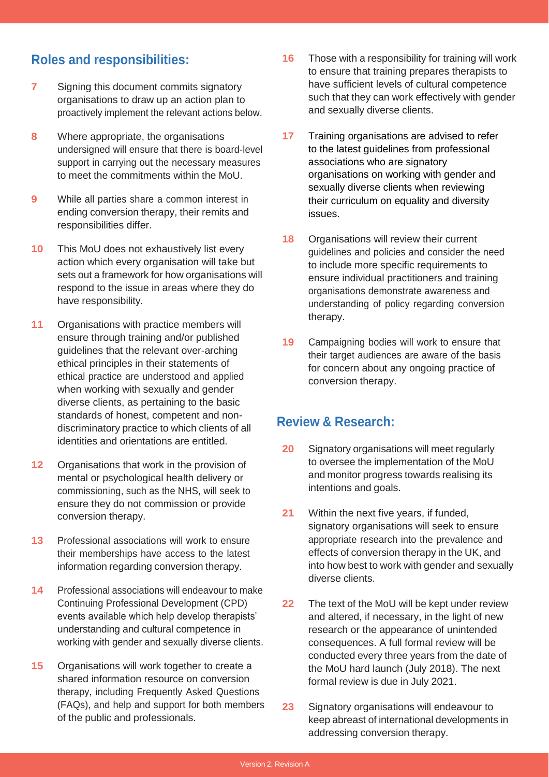## **Roles and responsibilities:**

- **7** Signing this document commits signatory organisations to draw up an action plan to proactively implement the relevant actions below.
- **8** Where appropriate, the organisations undersigned will ensure that there is board-level support in carrying out the necessary measures to meet the commitments within the MoU.
- **9** While all parties share a common interest in ending conversion therapy, their remits and responsibilities differ.
- **10** This MoU does not exhaustively list every action which every organisation will take but sets out a framework for how organisations will respond to the issue in areas where they do have responsibility.
- **11** Organisations with practice members will ensure through training and/or published guidelines that the relevant over-arching ethical principles in their statements of ethical practice are understood and applied when working with sexually and gender diverse clients, as pertaining to the basic standards of honest, competent and nondiscriminatory practice to which clients of all identities and orientations are entitled.
- **12** Organisations that work in the provision of mental or psychological health delivery or commissioning, such as the NHS, will seek to ensure they do not commission or provide conversion therapy.
- **13** Professional associations will work to ensure their memberships have access to the latest information regarding conversion therapy.
- **14** Professional associations will endeavour to make Continuing Professional Development (CPD) events available which help develop therapists' understanding and cultural competence in working with gender and sexually diverse clients.
- **15** Organisations will work together to create a shared information resource on conversion therapy, including Frequently Asked Questions (FAQs), and help and support for both members of the public and professionals.
- **16** Those with a responsibility for training will work to ensure that training prepares therapists to have sufficient levels of cultural competence such that they can work effectively with gender and sexually diverse clients.
- **17** Training organisations are advised to refer to the latest guidelines from professional associations who are signatory organisations on working with gender and sexually diverse clients when reviewing their curriculum on equality and diversity issues.
- **18** Organisations will review their current guidelines and policies and consider the need to include more specific requirements to ensure individual practitioners and training organisations demonstrate awareness and understanding of policy regarding conversion therapy.
- **19** Campaigning bodies will work to ensure that their target audiences are aware of the basis for concern about any ongoing practice of conversion therapy.

#### **Review & Research:**

- **20** Signatory organisations will meet regularly to oversee the implementation of the MoU and monitor progress towards realising its intentions and goals.
- **21** Within the next five years, if funded, signatory organisations will seek to ensure appropriate research into the prevalence and effects of conversion therapy in the UK, and into how best to work with gender and sexually diverse clients.
- **22** The text of the MoU will be kept under review and altered, if necessary, in the light of new research or the appearance of unintended consequences. A full formal review will be conducted every three years from the date of the MoU hard launch (July 2018). The next formal review is due in July 2021.
- **23** Signatory organisations will endeavour to keep abreast of international developments in addressing conversion therapy.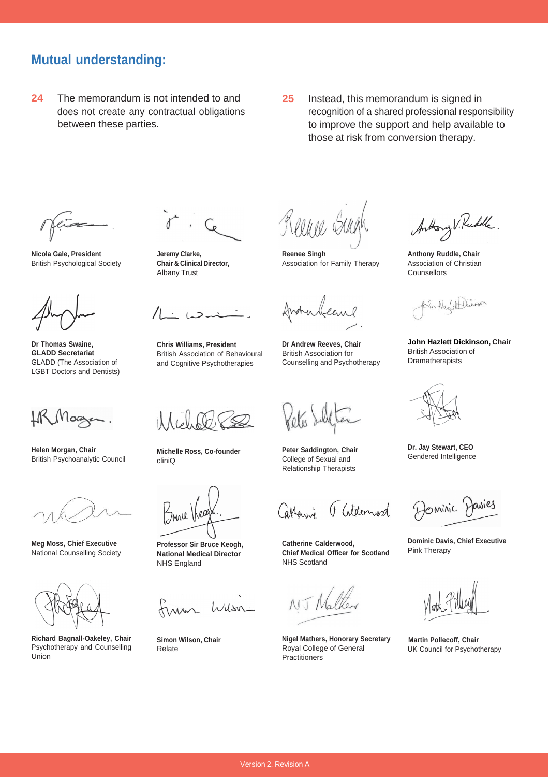### **Mutual understanding:**

- **24** The memorandum is not intended to and does not create any contractual obligations between these parties.
- **25** Instead, this memorandum is signed in recognition of a shared professional responsibility to improve the support and help available to those at risk from conversion therapy.

**Nicola Gale, President** British Psychological Society

**Dr Thomas Swaine, GLADD Secretariat** GLADD (The Association of LGBT Doctors and Dentists)

**Helen Morgan, Chair** British Psychoanalytic Council

**Meg Moss, Chief Executive** National Counselling Society

**Richard Bagnall-Oakeley, Chair** Psychotherapy and Counselling Union

**Jeremy Clarke, Chair & Clinical Director,** Albany Trust

 $12$ 

**Chris Williams, President** British Association of Behavioural and Cognitive Psychotherapies

**Michelle Ross, Co-founder** cliniQ

**Professor Sir Bruce Keogh, National Medical Director** NHS England

finan Wilson

**Simon Wilson, Chair** Relate

**Reenee Singh** Association for Family Therapy

franceleane

**Dr Andrew Reeves, Chair** British Association for Counselling and Psychotherapy

Kets'

**Peter Saddington, Chair** College of Sexual and Relationship Therapists

Catherine Galdemod

**Catherine Calderwood, Chief Medical Officer for Scotland** NHS Scotland

NJ Nalte

**Nigel Mathers, Honorary Secretary** Royal College of General **Practitioners** 

Anthony V. Rudolle

**Anthony Ruddle, Chair** Association of Christian **Counsellors** 

John Haslett Didnes

**John Hazlett Dickinson, Chair** British Association of **Dramatherapists** 

**Dr. Jay Stewart, CEO** Gendered Intelligence

Dominic Davies

**Dominic Davis, Chief Executive** Pink Therapy

 **Martin Pollecoff, Chair** UK Council for Psychotherapy